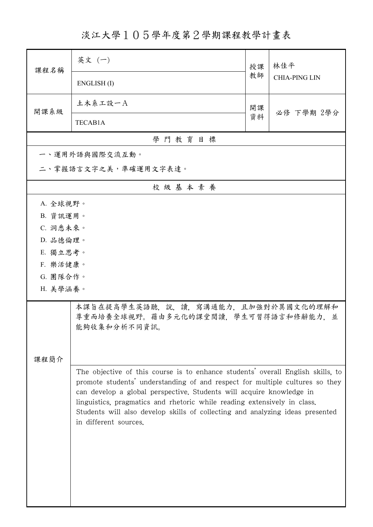淡江大學105學年度第2學期課程教學計畫表

| 課程名稱                                                                                                                                                                                                                                                                                                                                                                                                                          | 英文 (一)                                                                                     | 授課 | 林佳平<br><b>CHIA-PING LIN</b> |  |  |  |  |
|-------------------------------------------------------------------------------------------------------------------------------------------------------------------------------------------------------------------------------------------------------------------------------------------------------------------------------------------------------------------------------------------------------------------------------|--------------------------------------------------------------------------------------------|----|-----------------------------|--|--|--|--|
|                                                                                                                                                                                                                                                                                                                                                                                                                               | ENGLISH(I)                                                                                 | 教師 |                             |  |  |  |  |
| 開課系級                                                                                                                                                                                                                                                                                                                                                                                                                          | 土木系工設一A                                                                                    | 開課 | 必修 下學期 2學分                  |  |  |  |  |
|                                                                                                                                                                                                                                                                                                                                                                                                                               | TECAB1A                                                                                    | 資料 |                             |  |  |  |  |
| 學門教育目標                                                                                                                                                                                                                                                                                                                                                                                                                        |                                                                                            |    |                             |  |  |  |  |
|                                                                                                                                                                                                                                                                                                                                                                                                                               | 一、運用外語與國際交流互動。                                                                             |    |                             |  |  |  |  |
|                                                                                                                                                                                                                                                                                                                                                                                                                               | 二、掌握語言文字之美,準確運用文字表達。                                                                       |    |                             |  |  |  |  |
|                                                                                                                                                                                                                                                                                                                                                                                                                               | 校級基本素養                                                                                     |    |                             |  |  |  |  |
| A. 全球視野。                                                                                                                                                                                                                                                                                                                                                                                                                      |                                                                                            |    |                             |  |  |  |  |
| B. 資訊運用。                                                                                                                                                                                                                                                                                                                                                                                                                      |                                                                                            |    |                             |  |  |  |  |
| C. 洞悉未來。                                                                                                                                                                                                                                                                                                                                                                                                                      |                                                                                            |    |                             |  |  |  |  |
| D. 品德倫理。                                                                                                                                                                                                                                                                                                                                                                                                                      |                                                                                            |    |                             |  |  |  |  |
| E. 獨立思考。                                                                                                                                                                                                                                                                                                                                                                                                                      |                                                                                            |    |                             |  |  |  |  |
| F. 樂活健康。                                                                                                                                                                                                                                                                                                                                                                                                                      |                                                                                            |    |                             |  |  |  |  |
| G. 團隊合作。                                                                                                                                                                                                                                                                                                                                                                                                                      |                                                                                            |    |                             |  |  |  |  |
| H. 美學涵養。                                                                                                                                                                                                                                                                                                                                                                                                                      |                                                                                            |    |                             |  |  |  |  |
|                                                                                                                                                                                                                                                                                                                                                                                                                               | 本課旨在提高學生英語聽,說,讀,寫溝通能力,且加強對於異國文化的理解和<br>尊重而培養全球視野。藉由多元化的課堂閱讀,學生可習得語言和修辭能力,並<br>能夠收集和分析不同資訊。 |    |                             |  |  |  |  |
|                                                                                                                                                                                                                                                                                                                                                                                                                               |                                                                                            |    |                             |  |  |  |  |
| 課程簡介                                                                                                                                                                                                                                                                                                                                                                                                                          |                                                                                            |    |                             |  |  |  |  |
| The objective of this course is to enhance students' overall English skills, to<br>promote students' understanding of and respect for multiple cultures so they<br>can develop a global perspective. Students will acquire knowledge in<br>linguistics, pragmatics and rhetoric while reading extensively in class.<br>Students will also develop skills of collecting and analyzing ideas presented<br>in different sources. |                                                                                            |    |                             |  |  |  |  |
|                                                                                                                                                                                                                                                                                                                                                                                                                               |                                                                                            |    |                             |  |  |  |  |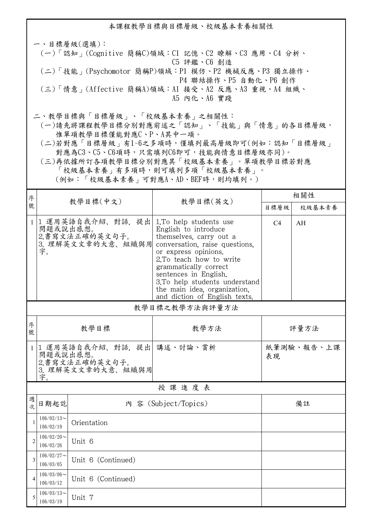本課程教學目標與目標層級、校級基本素養相關性 一、目標層級(選填): (一)「認知」(Cognitive 簡稱C)領域:C1 記憶、C2 瞭解、C3 應用、C4 分析、 C5 評鑑、C6 創造 (二)「技能」(Psychomotor 簡稱P)領域:P1 模仿、P2 機械反應、P3 獨立操作、 P4 聯結操作、P5 自動化、P6 創作 (三)「情意」(Affective 簡稱A)領域:A1 接受、A2 反應、A3 重視、A4 組織、 A5 內化、A6 實踐 二、教學目標與「目標層級」、「校級基本素養」之相關性:

 (一)請先將課程教學目標分別對應前述之「認知」、「技能」與「情意」的各目標層級, 惟單項教學目標僅能對應C、P、A其中一項。

 (二)若對應「目標層級」有1~6之多項時,僅填列最高層級即可(例如:認知「目標層級」 對應為C3、C5、C6項時,只需填列C6即可,技能與情意目標層級亦同)。

 (三)再依據所訂各項教學目標分別對應其「校級基本素養」。單項教學目標若對應 「校級基本素養」有多項時,則可填列多項「校級基本素養」。 (例如:「校級基本素養」可對應A、AD、BEF時,則均填列。)

| 序              |                                                  | 教學目標(中文)                                                                      |                                                                                                                                                                                                                                                                                                                     | 相關性              |        |  |  |  |
|----------------|--------------------------------------------------|-------------------------------------------------------------------------------|---------------------------------------------------------------------------------------------------------------------------------------------------------------------------------------------------------------------------------------------------------------------------------------------------------------------|------------------|--------|--|--|--|
| 號              |                                                  |                                                                               | 教學目標(英文)                                                                                                                                                                                                                                                                                                            | 目標層級             | 校級基本素養 |  |  |  |
| $\mathbf{1}$   | 問題或說出感想。<br>字。                                   | 1 運用英語自我介紹、對話,提出<br>2.書寫文法正確的英文句子。<br>3. 理解英文文章的大意、組織與用                       | 1. To help students use<br>English to introduce<br>themselves, carry out a<br>conversation, raise questions,<br>or express opinions.<br>2.To teach how to write<br>grammatically correct<br>sentences in English.<br>3.To help students understand<br>the main idea, organization,<br>and diction of English texts. | C4               | AH     |  |  |  |
|                | 教學目標之教學方法與評量方法                                   |                                                                               |                                                                                                                                                                                                                                                                                                                     |                  |        |  |  |  |
| 序<br>號         |                                                  | 教學目標                                                                          | 教學方法                                                                                                                                                                                                                                                                                                                | 評量方法             |        |  |  |  |
| $\mathbf{1}$   | 字。                                               | 1 運用英語自我介紹、對話、提出 講述、討論、賞析<br>問題或說出感想。<br>2. 書寫文法正確的英文句子。<br>3. 理解英文文章的大意、組織與用 |                                                                                                                                                                                                                                                                                                                     | 紙筆測驗、報告、上課<br>表現 |        |  |  |  |
|                | 授課進度表                                            |                                                                               |                                                                                                                                                                                                                                                                                                                     |                  |        |  |  |  |
| 週<br>次         | 日期起訖                                             | 內 容 (Subject/Topics)                                                          |                                                                                                                                                                                                                                                                                                                     | 備註               |        |  |  |  |
| $\mathbf{1}$   | $106/02/13$ ~<br>106/02/19                       | Orientation                                                                   |                                                                                                                                                                                                                                                                                                                     |                  |        |  |  |  |
| $\overline{2}$ | $106/02/20$ ~<br>106/02/26                       | Unit 6                                                                        |                                                                                                                                                                                                                                                                                                                     |                  |        |  |  |  |
| 3              | $106/02/27$ ~<br>Unit 6 (Continued)<br>106/03/05 |                                                                               |                                                                                                                                                                                                                                                                                                                     |                  |        |  |  |  |
| $\overline{4}$ | $106/03/06 \sim$<br>106/03/12                    | Unit 6 (Continued)                                                            |                                                                                                                                                                                                                                                                                                                     |                  |        |  |  |  |
| 5              | $106/03/13$ ~<br>106/03/19                       | Unit 7                                                                        |                                                                                                                                                                                                                                                                                                                     |                  |        |  |  |  |